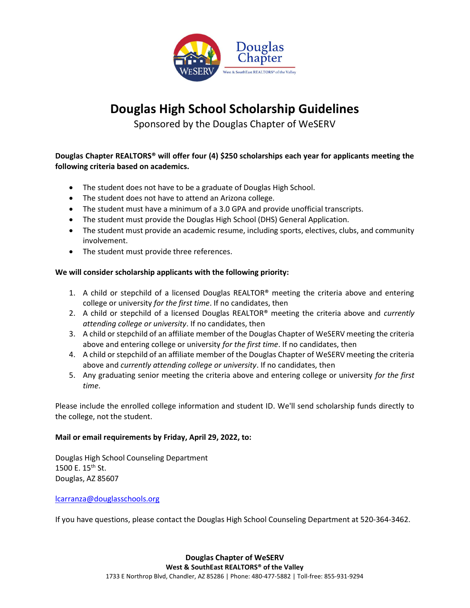

## Douglas High School Scholarship Guidelines

Sponsored by the Douglas Chapter of WeSERV

### Douglas Chapter REALTORS® will offer four (4) \$250 scholarships each year for applicants meeting the following criteria based on academics.

- The student does not have to be a graduate of Douglas High School.
- The student does not have to attend an Arizona college.
- The student must have a minimum of a 3.0 GPA and provide unofficial transcripts.
- The student must provide the Douglas High School (DHS) General Application.
- The student must provide an academic resume, including sports, electives, clubs, and community involvement.
- The student must provide three references.

#### We will consider scholarship applicants with the following priority:

- 1. A child or stepchild of a licensed Douglas REALTOR<sup>®</sup> meeting the criteria above and entering college or university for the first time. If no candidates, then
- 2. A child or stepchild of a licensed Douglas REALTOR<sup>®</sup> meeting the criteria above and *currently* attending college or university. If no candidates, then
- 3. A child or stepchild of an affiliate member of the Douglas Chapter of WeSERV meeting the criteria above and entering college or university for the first time. If no candidates, then
- 4. A child or stepchild of an affiliate member of the Douglas Chapter of WeSERV meeting the criteria above and currently attending college or university. If no candidates, then
- 5. Any graduating senior meeting the criteria above and entering college or university for the first time.

Please include the enrolled college information and student ID. We'll send scholarship funds directly to the college, not the student.

#### Mail or email requirements by Friday, April 29, 2022, to:

Douglas High School Counseling Department 1500 E.  $15^{th}$  St. Douglas, AZ 85607

#### lcarranza@douglasschools.org

If you have questions, please contact the Douglas High School Counseling Department at 520-364-3462.